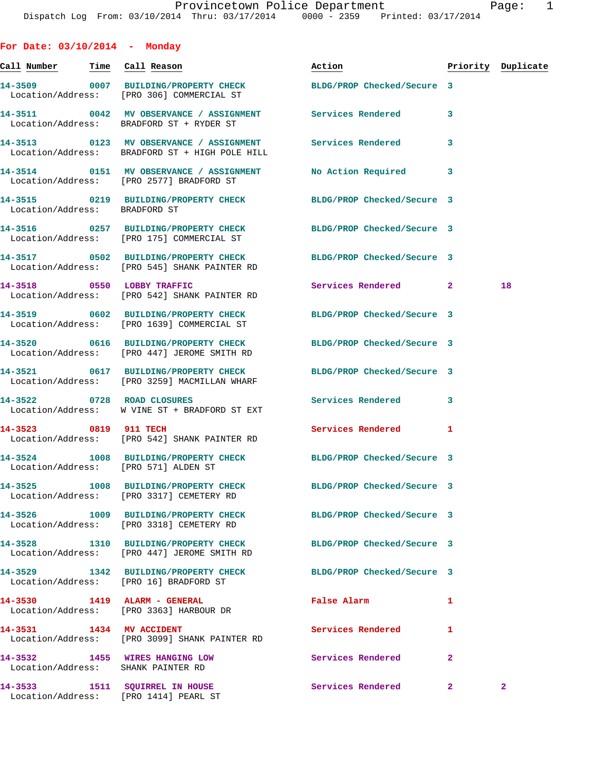| For Date: $03/10/2014$ - Monday        |                                                                                                                |                            |                         |                    |
|----------------------------------------|----------------------------------------------------------------------------------------------------------------|----------------------------|-------------------------|--------------------|
| <u>Call Number — Time Call Reason</u>  |                                                                                                                | Action                     |                         | Priority Duplicate |
|                                        | 14-3509 0007 BUILDING/PROPERTY CHECK BLDG/PROP Checked/Secure 3<br>Location/Address: [PRO 306] COMMERCIAL ST   |                            |                         |                    |
|                                        | 14-3511 0042 MV OBSERVANCE / ASSIGNMENT Services Rendered<br>Location/Address: BRADFORD ST + RYDER ST          |                            | 3                       |                    |
|                                        | 14-3513 0123 MV OBSERVANCE / ASSIGNMENT<br>Location/Address: BRADFORD ST + HIGH POLE HILL                      | Services Rendered          | 3                       |                    |
|                                        | 14-3514 0151 MV OBSERVANCE / ASSIGNMENT<br>Location/Address: [PRO 2577] BRADFORD ST                            | <b>No Action Required</b>  | 3                       |                    |
| Location/Address: BRADFORD ST          | 14-3515 0219 BUILDING/PROPERTY CHECK BLDG/PROP Checked/Secure 3                                                |                            |                         |                    |
|                                        | 14-3516 0257 BUILDING/PROPERTY CHECK BLDG/PROP Checked/Secure 3<br>Location/Address: [PRO 175] COMMERCIAL ST   |                            |                         |                    |
|                                        | 14-3517 0502 BUILDING/PROPERTY CHECK<br>Location/Address: [PRO 545] SHANK PAINTER RD                           | BLDG/PROP Checked/Secure 3 |                         |                    |
|                                        | 14-3518 0550 LOBBY TRAFFIC<br>Location/Address: [PRO 542] SHANK PAINTER RD                                     | Services Rendered 2        |                         | 18                 |
|                                        | 14-3519 0602 BUILDING/PROPERTY CHECK BLDG/PROP Checked/Secure 3<br>Location/Address: [PRO 1639] COMMERCIAL ST  |                            |                         |                    |
|                                        | 14-3520 0616 BUILDING/PROPERTY CHECK BLDG/PROP Checked/Secure 3<br>Location/Address: [PRO 447] JEROME SMITH RD |                            |                         |                    |
|                                        | 14-3521 0617 BUILDING/PROPERTY CHECK<br>Location/Address: [PRO 3259] MACMILLAN WHARF                           | BLDG/PROP Checked/Secure 3 |                         |                    |
| 14-3522 0728 ROAD CLOSURES             | Location/Address: W VINE ST + BRADFORD ST EXT                                                                  | Services Rendered          | $\overline{\mathbf{3}}$ |                    |
| 14-3523 0819 911 TECH                  | Location/Address: [PRO 542] SHANK PAINTER RD                                                                   | Services Rendered          | 1                       |                    |
| Location/Address: [PRO 571] ALDEN ST   | 14-3524 1008 BUILDING/PROPERTY CHECK BLDG/PROP Checked/Secure 3                                                |                            |                         |                    |
|                                        | 14-3525 1008 BUILDING/PROPERTY CHECK<br>Location/Address: [PRO 3317] CEMETERY RD                               | BLDG/PROP Checked/Secure 3 |                         |                    |
|                                        | 14-3526 1009 BUILDING/PROPERTY CHECK<br>Location/Address: [PRO 3318] CEMETERY RD                               | BLDG/PROP Checked/Secure 3 |                         |                    |
|                                        | 14-3528 1310 BUILDING/PROPERTY CHECK<br>Location/Address: [PRO 447] JEROME SMITH RD                            | BLDG/PROP Checked/Secure 3 |                         |                    |
| Location/Address: [PRO 16] BRADFORD ST | 14-3529 1342 BUILDING/PROPERTY CHECK                                                                           | BLDG/PROP Checked/Secure 3 |                         |                    |
| 14-3530 1419 ALARM - GENERAL           | Location/Address: [PRO 3363] HARBOUR DR                                                                        | False Alarm                | 1                       |                    |
| 14-3531 1434 MV ACCIDENT               | Location/Address: [PRO 3099] SHANK PAINTER RD                                                                  | Services Rendered          | 1                       |                    |
| Location/Address: SHANK PAINTER RD     | 14-3532 1455 WIRES HANGING LOW                                                                                 | Services Rendered          | $\mathbf{2}$            |                    |
| Location/Address: [PRO 1414] PEARL ST  | 14-3533 1511 SQUIRREL IN HOUSE                                                                                 | <b>Services Rendered</b>   | $\mathbf{2}$            | $\mathbf{2}^-$     |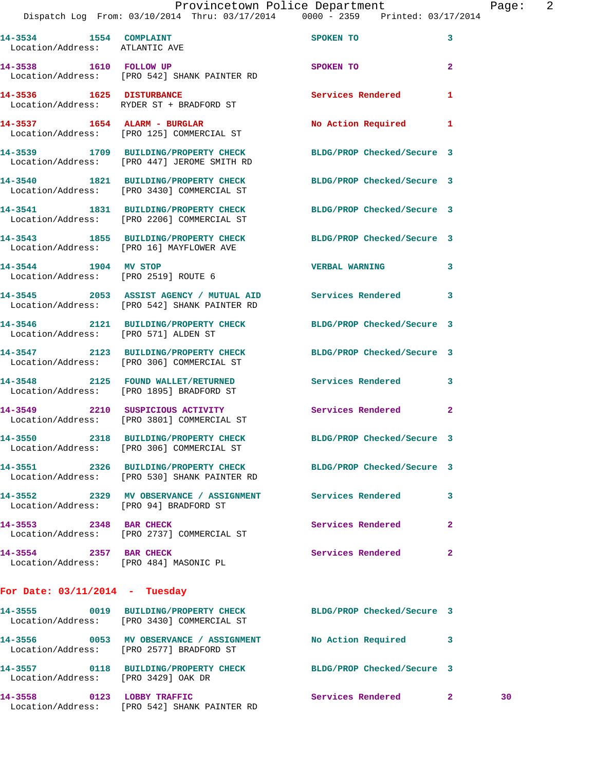|                                      | Provincetown Police Department                                                 |                   |   | Page: | 2 |
|--------------------------------------|--------------------------------------------------------------------------------|-------------------|---|-------|---|
|                                      | Dispatch Log From: 03/10/2014 Thru: 03/17/2014 0000 - 2359 Printed: 03/17/2014 |                   |   |       |   |
| 14-3534<br>1554<br>Location/Address: | <b>COMPLAINT</b><br>ATLANTIC AVE                                               | SPOKEN TO         |   |       |   |
| 14-3538<br>1610<br>Location/Address: | <b>FOLLOW UP</b><br>[PRO 542] SHANK PAINTER RD                                 | SPOKEN TO         | 2 |       |   |
| 14-3536<br>1625<br>Location/Address: | <b>DISTURBANCE</b><br>RYDER ST + BRADFORD ST                                   | Services Rendered |   |       |   |

14-3537 1654 ALARM - BURGLAR No Action Required 1 Location/Address: [PRO 125] COMMERCIAL ST

**14-3539 1709 BUILDING/PROPERTY CHECK BLDG/PROP Checked/Secure 3**  Location/Address: [PRO 447] JEROME SMITH RD

**14-3540 1821 BUILDING/PROPERTY CHECK BLDG/PROP Checked/Secure 3**  Location/Address: [PRO 3430] COMMERCIAL ST

Location/Address: [PRO 2206] COMMERCIAL ST

**14-3543 1855 BUILDING/PROPERTY CHECK BLDG/PROP Checked/Secure 3**  Location/Address: [PRO 16] MAYFLOWER AVE

Location/Address: [PRO 2519] ROUTE 6

Location/Address: [PRO 542] SHANK PAINTER RD

Location/Address: [PRO 571] ALDEN ST

Location/Address: [PRO 306] COMMERCIAL ST

Location/Address: [PRO 1895] BRADFORD ST

Location/Address: [PRO 3801] COMMERCIAL ST

Location/Address: [PRO 306] COMMERCIAL ST

Location/Address: [PRO 530] SHANK PAINTER RD

Location/Address: [PRO 94] BRADFORD ST

Location/Address: [PRO 2737] COMMERCIAL ST

**14-3554 2357 BAR CHECK Services Rendered 2**  Location/Address: [PRO 484] MASONIC PL

**For Date: 03/11/2014 - Tuesday**

Location/Address: [PRO 2577] BRADFORD ST

**14-3557 0118 BUILDING/PROPERTY CHECK BLDG/PROP Checked/Secure 3**  Location/Address: [PRO 3429] OAK DR

**14-3541 1831 BUILDING/PROPERTY CHECK BLDG/PROP Checked/Secure 3** 

**14-3544 1904 MV STOP VERBAL WARNING 3** 

**14-3545 2053 ASSIST AGENCY / MUTUAL AID Services Rendered 3** 

**14-3546 2121 BUILDING/PROPERTY CHECK BLDG/PROP Checked/Secure 3** 

**14-3547 2123 BUILDING/PROPERTY CHECK BLDG/PROP Checked/Secure 3** 

**14-3548 2125 FOUND WALLET/RETURNED Services Rendered 3** 

**14-3549 2210 SUSPICIOUS ACTIVITY Services Rendered 2** 

**14-3550 2318 BUILDING/PROPERTY CHECK BLDG/PROP Checked/Secure 3** 

**14-3551 2326 BUILDING/PROPERTY CHECK BLDG/PROP Checked/Secure 3** 

**14-3552 2329 MV OBSERVANCE / ASSIGNMENT Services Rendered 3 14-3553 2348 BAR CHECK Services Rendered 2** 

**14-3555 0019 BUILDING/PROPERTY CHECK BLDG/PROP Checked/Secure 3**  Location/Address: [PRO 3430] COMMERCIAL ST

**14-3556 0053 MV OBSERVANCE / ASSIGNMENT No Action Required 3** 

**14-3558 0123 LOBBY TRAFFIC Services Rendered 2 30**  Location/Address: [PRO 542] SHANK PAINTER RD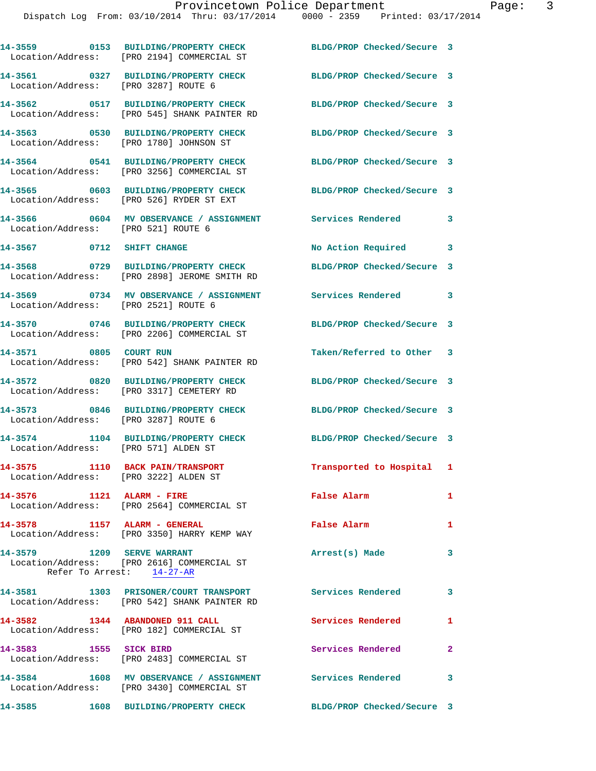|                                       | 14-3559 0153 BUILDING/PROPERTY CHECK<br>Location/Address: [PRO 2194] COMMERCIAL ST                        | BLDG/PROP Checked/Secure 3 |                         |
|---------------------------------------|-----------------------------------------------------------------------------------------------------------|----------------------------|-------------------------|
| Location/Address: [PRO 3287] ROUTE 6  | 14-3561 0327 BUILDING/PROPERTY CHECK                                                                      | BLDG/PROP Checked/Secure 3 |                         |
|                                       | 14-3562 0517 BUILDING/PROPERTY CHECK<br>Location/Address: [PRO 545] SHANK PAINTER RD                      | BLDG/PROP Checked/Secure 3 |                         |
|                                       | 14-3563 0530 BUILDING/PROPERTY CHECK<br>Location/Address: [PRO 1780] JOHNSON ST                           | BLDG/PROP Checked/Secure 3 |                         |
|                                       | 14-3564 0541 BUILDING/PROPERTY CHECK<br>Location/Address: [PRO 3256] COMMERCIAL ST                        | BLDG/PROP Checked/Secure 3 |                         |
|                                       | 14-3565 0603 BUILDING/PROPERTY CHECK<br>Location/Address: [PRO 526] RYDER ST EXT                          | BLDG/PROP Checked/Secure 3 |                         |
| Location/Address: [PRO 521] ROUTE 6   | 14-3566 0604 MV OBSERVANCE / ASSIGNMENT                                                                   | <b>Services Rendered</b>   | 3                       |
| 14-3567 0712 SHIFT CHANGE             |                                                                                                           | No Action Required         | 3                       |
|                                       | 14-3568 0729 BUILDING/PROPERTY CHECK<br>Location/Address: [PRO 2898] JEROME SMITH RD                      | BLDG/PROP Checked/Secure 3 |                         |
| Location/Address: [PRO 2521] ROUTE 6  | 14-3569 0734 MV OBSERVANCE / ASSIGNMENT                                                                   | <b>Services Rendered</b>   | $\mathbf{3}$            |
|                                       | 14-3570 0746 BUILDING/PROPERTY CHECK<br>Location/Address: [PRO 2206] COMMERCIAL ST                        | BLDG/PROP Checked/Secure 3 |                         |
| 14-3571 0805 COURT RUN                | Location/Address: [PRO 542] SHANK PAINTER RD                                                              | Taken/Referred to Other 3  |                         |
|                                       | 14-3572 0820 BUILDING/PROPERTY CHECK<br>Location/Address: [PRO 3317] CEMETERY RD                          | BLDG/PROP Checked/Secure 3 |                         |
| Location/Address: [PRO 3287] ROUTE 6  | 14-3573 0846 BUILDING/PROPERTY CHECK                                                                      | BLDG/PROP Checked/Secure 3 |                         |
| Location/Address: [PRO 571] ALDEN ST  | 14-3574 1104 BUILDING/PROPERTY CHECK                                                                      | BLDG/PROP Checked/Secure 3 |                         |
| Location/Address: [PRO 3222] ALDEN ST | 14-3575 1110 BACK PAIN/TRANSPORT                                                                          | Transported to Hospital 1  |                         |
| 14-3576 1121 ALARM - FIRE             | Location/Address: [PRO 2564] COMMERCIAL ST                                                                | False Alarm                | $\mathbf{1}$            |
| 14-3578 1157 ALARM - GENERAL          | Location/Address: [PRO 3350] HARRY KEMP WAY                                                               | <b>False Alarm</b>         | $\mathbf{1}$            |
| 14-3579 1209 SERVE WARRANT            | Location/Address: [PRO 2616] COMMERCIAL ST<br>Refer To Arrest: 14-27-AR                                   | Arrest(s) Made             | 3                       |
|                                       | 14-3581 1303 PRISONER/COURT TRANSPORT<br>Location/Address: [PRO 542] SHANK PAINTER RD                     | <b>Services Rendered</b>   | $\overline{\mathbf{3}}$ |
| 14-3582 1344 ABANDONED 911 CALL       | Location/Address: [PRO 182] COMMERCIAL ST                                                                 | <b>Services Rendered</b>   | 1                       |
| 14-3583 1555 SICK BIRD                | Location/Address: [PRO 2483] COMMERCIAL ST                                                                | Services Rendered          | $\mathbf{2}$            |
|                                       | 14-3584 1608 MV OBSERVANCE / ASSIGNMENT Services Rendered 3<br>Location/Address: [PRO 3430] COMMERCIAL ST |                            |                         |
|                                       | 14-3585 1608 BUILDING/PROPERTY CHECK BLDG/PROP Checked/Secure 3                                           |                            |                         |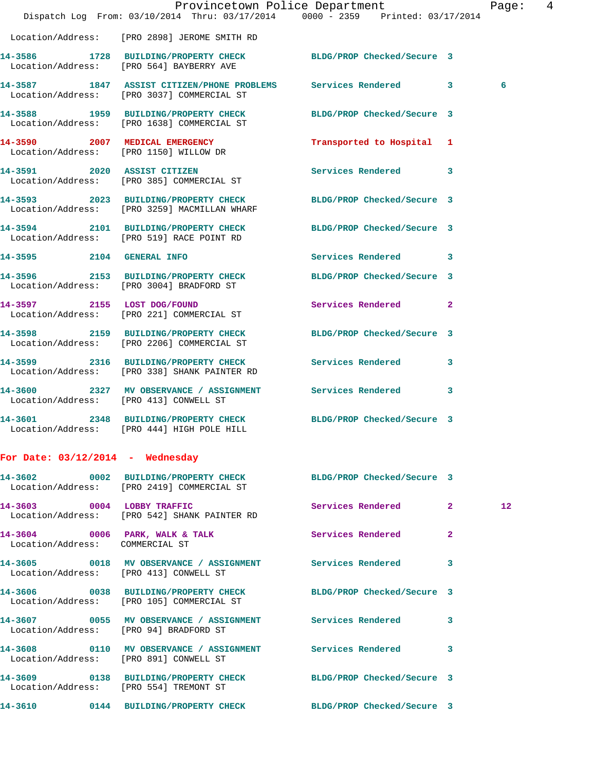|                                        | Dispatch Log From: 03/10/2014 Thru: 03/17/2014 0000 - 2359 Printed: 03/17/2014                                  | Provincetown Police Department | Page: 4         |
|----------------------------------------|-----------------------------------------------------------------------------------------------------------------|--------------------------------|-----------------|
|                                        | Location/Address: [PRO 2898] JEROME SMITH RD                                                                    |                                |                 |
|                                        | 14-3586 1728 BUILDING/PROPERTY CHECK BLDG/PROP Checked/Secure 3<br>Location/Address: [PRO 564] BAYBERRY AVE     |                                |                 |
|                                        | 14-3587 1847 ASSIST CITIZEN/PHONE PROBLEMS Services Rendered 3<br>Location/Address: [PRO 3037] COMMERCIAL ST    |                                | 6               |
|                                        | 14-3588 1959 BUILDING/PROPERTY CHECK BLDG/PROP Checked/Secure 3<br>Location/Address: [PRO 1638] COMMERCIAL ST   |                                |                 |
|                                        | 14-3590 2007 MEDICAL EMERGENCY<br>Location/Address: [PRO 1150] WILLOW DR                                        | Transported to Hospital 1      |                 |
|                                        | 14-3591 2020 ASSIST CITIZEN<br>Location/Address: [PRO 385] COMMERCIAL ST                                        | Services Rendered 3            |                 |
|                                        | 14-3593 2023 BUILDING/PROPERTY CHECK BLDG/PROP Checked/Secure 3<br>Location/Address: [PRO 3259] MACMILLAN WHARF |                                |                 |
|                                        | 14-3594 2101 BUILDING/PROPERTY CHECK BLDG/PROP Checked/Secure 3<br>Location/Address: [PRO 519] RACE POINT RD    |                                |                 |
|                                        | 14-3595 2104 GENERAL INFO                                                                                       | Services Rendered 3            |                 |
|                                        | 14-3596 2153 BUILDING/PROPERTY CHECK<br>Location/Address: [PRO 3004] BRADFORD ST                                | BLDG/PROP Checked/Secure 3     |                 |
|                                        | 14-3597 2155 LOST DOG/FOUND<br>Location/Address: [PRO 221] COMMERCIAL ST                                        | Services Rendered 2            |                 |
|                                        | 14-3598 2159 BUILDING/PROPERTY CHECK BLDG/PROP Checked/Secure 3<br>Location/Address: [PRO 2206] COMMERCIAL ST   |                                |                 |
|                                        | 14-3599 2316 BUILDING/PROPERTY CHECK Services Rendered 3<br>Location/Address: [PRO 338] SHANK PAINTER RD        |                                |                 |
| Location/Address: [PRO 413] CONWELL ST | 14-3600 2327 MV OBSERVANCE / ASSIGNMENT Services Rendered                                                       | $\overline{\mathbf{3}}$        |                 |
|                                        | 14-3601 2348 BUILDING/PROPERTY CHECK BLDG/PROP Checked/Secure 3<br>Location/Address: [PRO 444] HIGH POLE HILL   |                                |                 |
| For Date: $03/12/2014$ - Wednesday     |                                                                                                                 |                                |                 |
|                                        | 14-3602 0002 BUILDING/PROPERTY CHECK BLDG/PROP Checked/Secure 3<br>Location/Address: [PRO 2419] COMMERCIAL ST   |                                |                 |
|                                        | 14-3603 0004 LOBBY TRAFFIC<br>Location/Address: [PRO 542] SHANK PAINTER RD                                      | Services Rendered 2            | 12 <sup>°</sup> |
| Location/Address: COMMERCIAL ST        | 14-3604 0006 PARK, WALK & TALK 3 Services Rendered 2                                                            |                                |                 |
|                                        | 14-3605 0018 MV OBSERVANCE / ASSIGNMENT Services Rendered 3<br>Location/Address: [PRO 413] CONWELL ST           |                                |                 |
|                                        | 14-3606 0038 BUILDING/PROPERTY CHECK BLDG/PROP Checked/Secure 3<br>Location/Address: [PRO 105] COMMERCIAL ST    |                                |                 |
|                                        | 14-3607 0055 MV OBSERVANCE / ASSIGNMENT Services Rendered 3<br>Location/Address: [PRO 94] BRADFORD ST           |                                |                 |
| Location/Address: [PRO 891] CONWELL ST | 14-3608 0110 MV OBSERVANCE / ASSIGNMENT Services Rendered 3                                                     |                                |                 |
|                                        | 14-3609 0138 BUILDING/PROPERTY CHECK BLDG/PROP Checked/Secure 3<br>Location/Address: [PRO 554] TREMONT ST       |                                |                 |
|                                        | 14-3610 0144 BUILDING/PROPERTY CHECK BLDG/PROP Checked/Secure 3                                                 |                                |                 |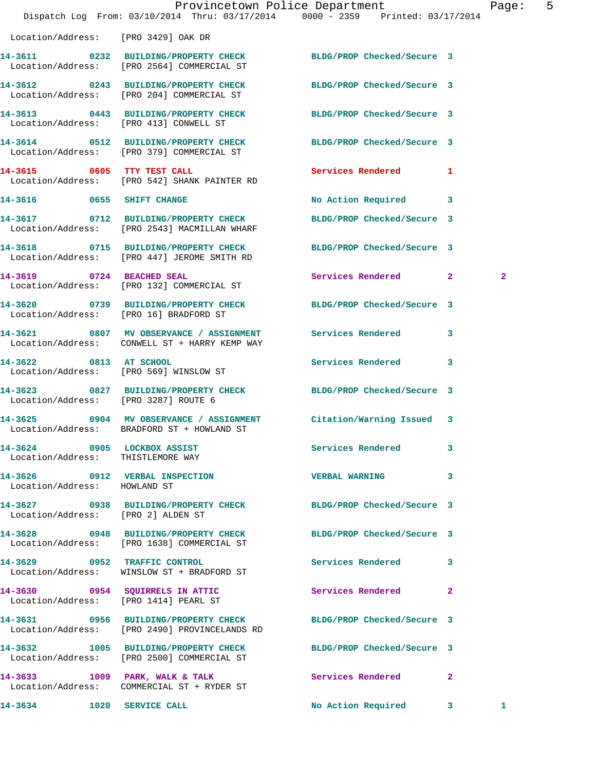|                                                                  | Provincetown Police Department Page: 5<br>Dispatch Log From: 03/10/2014 Thru: 03/17/2014 0000 - 2359 Printed: 03/17/2014 |                            |              |                |  |
|------------------------------------------------------------------|--------------------------------------------------------------------------------------------------------------------------|----------------------------|--------------|----------------|--|
| Location/Address: [PRO 3429] OAK DR                              |                                                                                                                          |                            |              |                |  |
|                                                                  | 14-3611 0232 BUILDING/PROPERTY CHECK BLDG/PROP Checked/Secure 3<br>Location/Address: [PRO 2564] COMMERCIAL ST            |                            |              |                |  |
|                                                                  | 14-3612 0243 BUILDING/PROPERTY CHECK BLDG/PROP Checked/Secure 3<br>Location/Address: [PRO 204] COMMERCIAL ST             |                            |              |                |  |
|                                                                  | 14-3613 0443 BUILDING/PROPERTY CHECK BLDG/PROP Checked/Secure 3<br>Location/Address: [PRO 413] CONWELL ST                |                            |              |                |  |
|                                                                  | 14-3614 0512 BUILDING/PROPERTY CHECK BLDG/PROP Checked/Secure 3<br>Location/Address: [PRO 379] COMMERCIAL ST             |                            |              |                |  |
|                                                                  | 14-3615 0605 TTY TEST CALL<br>Location/Address: [PRO 542] SHANK PAINTER RD                                               | Services Rendered 1        |              |                |  |
| 14-3616 0655 SHIFT CHANGE                                        |                                                                                                                          | No Action Required 3       |              |                |  |
|                                                                  | 14-3617      0712   BUILDING/PROPERTY CHECK<br>Location/Address:   [PRO 2543] MACMILLAN WHARF                            | BLDG/PROP Checked/Secure 3 |              |                |  |
|                                                                  | 14-3618 0715 BUILDING/PROPERTY CHECK<br>Location/Address: [PRO 447] JEROME SMITH RD                                      | BLDG/PROP Checked/Secure 3 |              |                |  |
|                                                                  | 14-3619 0724 BEACHED SEAL<br>Location/Address: [PRO 132] COMMERCIAL ST                                                   | Services Rendered 2        |              | $\overline{a}$ |  |
| Location/Address: [PRO 16] BRADFORD ST                           | 14-3620 0739 BUILDING/PROPERTY CHECK BLDG/PROP Checked/Secure 3                                                          |                            |              |                |  |
|                                                                  | 14-3621 0807 MV OBSERVANCE / ASSIGNMENT Services Rendered 3<br>Location/Address: CONWELL ST + HARRY KEMP WAY             |                            |              |                |  |
|                                                                  | 14-3622 0813 AT SCHOOL<br>Location/Address: [PRO 569] WINSLOW ST                                                         | Services Rendered 3        |              |                |  |
| Location/Address: [PRO 3287] ROUTE 6                             | 14-3623 0827 BUILDING/PROPERTY CHECK BLDG/PROP Checked/Secure 3                                                          |                            |              |                |  |
|                                                                  | 14-3625 0904 MV OBSERVANCE / ASSIGNMENT Citation/Warning Issued 3<br>Location/Address: BRADFORD ST + HOWLAND ST          |                            |              |                |  |
| 14-3624 0905 LOCKBOX ASSIST<br>Location/Address: THISTLEMORE WAY |                                                                                                                          | Services Rendered          | 3            |                |  |
| Location/Address: HOWLAND ST                                     | 14-3626 0912 VERBAL INSPECTION VERBAL WARNING 3                                                                          |                            |              |                |  |
|                                                                  | 14-3627 0938 BUILDING/PROPERTY CHECK BLDG/PROP Checked/Secure 3<br>Location/Address: [PRO 2] ALDEN ST                    |                            |              |                |  |
|                                                                  | 14-3628 0948 BUILDING/PROPERTY CHECK<br>Location/Address: [PRO 1638] COMMERCIAL ST                                       | BLDG/PROP Checked/Secure 3 |              |                |  |
|                                                                  | 14-3629 0952 TRAFFIC CONTROL<br>Location/Address: WINSLOW ST + BRADFORD ST                                               | Services Rendered 3        |              |                |  |
|                                                                  | 14-3630 0954 SQUIRRELS IN ATTIC<br>Location/Address: [PRO 1414] PEARL ST                                                 | Services Rendered          | $\mathbf{2}$ |                |  |
|                                                                  | 14-3631 0956 BUILDING/PROPERTY CHECK BLDG/PROP Checked/Secure 3<br>Location/Address: [PRO 2490] PROVINCELANDS RD         |                            |              |                |  |
|                                                                  | 14-3632 1005 BUILDING/PROPERTY CHECK BLDG/PROP Checked/Secure 3<br>Location/Address: [PRO 2500] COMMERCIAL ST            |                            |              |                |  |
|                                                                  | 14-3633 1009 PARK, WALK & TALK<br>Location/Address: COMMERCIAL ST + RYDER ST                                             | Services Rendered 2        |              |                |  |
|                                                                  | 14-3634 1020 SERVICE CALL                                                                                                | No Action Required 3       |              | 1              |  |
|                                                                  |                                                                                                                          |                            |              |                |  |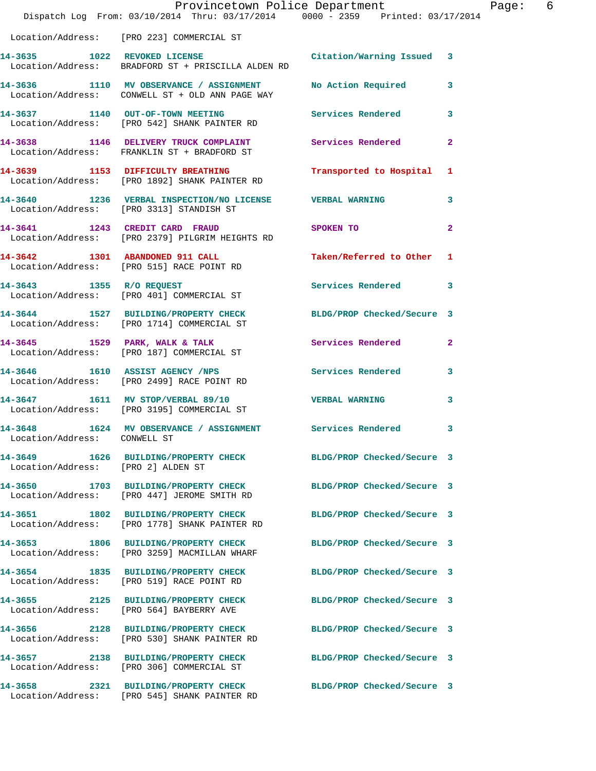|                                    | Provincetown Police Department<br>Dispatch Log From: 03/10/2014 Thru: 03/17/2014 0000 - 2359 Printed: 03/17/2014 |                            |              |
|------------------------------------|------------------------------------------------------------------------------------------------------------------|----------------------------|--------------|
|                                    | Location/Address: [PRO 223] COMMERCIAL ST                                                                        |                            |              |
| 14-3635 1022 REVOKED LICENSE       | Location/Address: BRADFORD ST + PRISCILLA ALDEN RD                                                               | Citation/Warning Issued    | 3            |
|                                    | 14-3636 1110 MV OBSERVANCE / ASSIGNMENT<br>Location/Address: CONWELL ST + OLD ANN PAGE WAY                       | No Action Required         | 3            |
|                                    | 14-3637 1140 OUT-OF-TOWN MEETING<br>Location/Address: [PRO 542] SHANK PAINTER RD                                 | <b>Services Rendered</b>   | 3            |
|                                    | 14-3638 1146 DELIVERY TRUCK COMPLAINT<br>Location/Address: FRANKLIN ST + BRADFORD ST                             | Services Rendered          | 2            |
|                                    | 14-3639 1153 DIFFICULTY BREATHING<br>Location/Address: [PRO 1892] SHANK PAINTER RD                               | Transported to Hospital    | 1            |
|                                    | 14-3640 1236 VERBAL INSPECTION/NO LICENSE VERBAL WARNING<br>Location/Address: [PRO 3313] STANDISH ST             |                            | 3            |
| 14-3641 1243 CREDIT CARD FRAUD     | Location/Address: [PRO 2379] PILGRIM HEIGHTS RD                                                                  | SPOKEN TO                  | $\mathbf{2}$ |
|                                    | 14-3642 1301 ABANDONED 911 CALL<br>Location/Address: [PRO 515] RACE POINT RD                                     | Taken/Referred to Other    | 1            |
| 14-3643 1355 R/O REQUEST           | Location/Address: [PRO 401] COMMERCIAL ST                                                                        | Services Rendered          | 3            |
|                                    | 14-3644 1527 BUILDING/PROPERTY CHECK<br>Location/Address: [PRO 1714] COMMERCIAL ST                               | BLDG/PROP Checked/Secure 3 |              |
|                                    | $14-3645$ 1529 PARK, WALK & TALK<br>Location/Address: [PRO 187] COMMERCIAL ST                                    | Services Rendered          | 2            |
|                                    | 14-3646 1610 ASSIST AGENCY /NPS<br>Location/Address: [PRO 2499] RACE POINT RD                                    | <b>Services Rendered</b>   | 3            |
|                                    | 14-3647 1611 MV STOP/VERBAL 89/10<br>Location/Address: [PRO 3195] COMMERCIAL ST                                  | <b>VERBAL WARNING</b>      | 3            |
| Location/Address: CONWELL ST       | 14-3648 1624 MV OBSERVANCE / ASSIGNMENT Services Rendered                                                        |                            | 3            |
| Location/Address: [PRO 2] ALDEN ST | 14-3649 1626 BUILDING/PROPERTY CHECK BLDG/PROP Checked/Secure 3                                                  |                            |              |
|                                    | 14-3650 1703 BUILDING/PROPERTY CHECK<br>Location/Address: [PRO 447] JEROME SMITH RD                              | BLDG/PROP Checked/Secure 3 |              |
|                                    | 14-3651 1802 BUILDING/PROPERTY CHECK<br>Location/Address: [PRO 1778] SHANK PAINTER RD                            | BLDG/PROP Checked/Secure 3 |              |
|                                    | 14-3653 1806 BUILDING/PROPERTY CHECK<br>Location/Address: [PRO 3259] MACMILLAN WHARF                             | BLDG/PROP Checked/Secure 3 |              |
|                                    | 14-3654 1835 BUILDING/PROPERTY CHECK<br>Location/Address: [PRO 519] RACE POINT RD                                | BLDG/PROP Checked/Secure 3 |              |
|                                    | 14-3655 2125 BUILDING/PROPERTY CHECK<br>Location/Address: [PRO 564] BAYBERRY AVE                                 | BLDG/PROP Checked/Secure 3 |              |
|                                    | 14-3656 2128 BUILDING/PROPERTY CHECK<br>Location/Address: [PRO 530] SHANK PAINTER RD                             | BLDG/PROP Checked/Secure 3 |              |
|                                    | 14-3657 2138 BUILDING/PROPERTY CHECK<br>Location/Address: [PRO 306] COMMERCIAL ST                                | BLDG/PROP Checked/Secure 3 |              |
|                                    | 14-3658 2321 BUILDING/PROPERTY CHECK<br>Location/Address: [PRO 545] SHANK PAINTER RD                             | BLDG/PROP Checked/Secure 3 |              |

Page: 6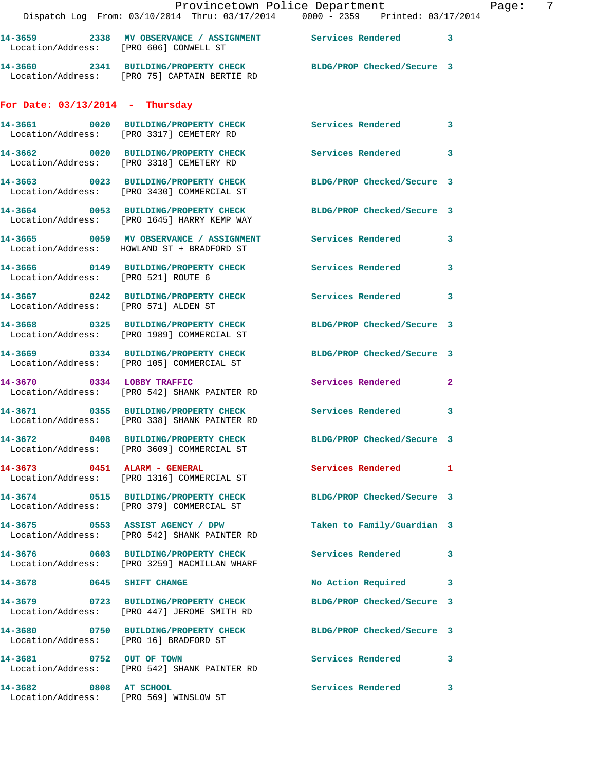|                                        | Provincetown Police Department<br>Dispatch Log From: 03/10/2014 Thru: 03/17/2014 0000 - 2359 Printed: 03/17/2014 |                            |                |
|----------------------------------------|------------------------------------------------------------------------------------------------------------------|----------------------------|----------------|
|                                        | 14-3659  2338 MV OBSERVANCE / ASSIGNMENT  Services Rendered<br>Location/Address: [PRO 606] CONWELL ST            |                            | $\mathbf{3}$   |
|                                        | 14-3660 2341 BUILDING/PROPERTY CHECK BLDG/PROP Checked/Secure 3<br>Location/Address: [PRO 75] CAPTAIN BERTIE RD  |                            |                |
| For Date: $03/13/2014$ - Thursday      |                                                                                                                  |                            |                |
|                                        | 14-3661 0020 BUILDING/PROPERTY CHECK<br>Location/Address: [PRO 3317] CEMETERY RD                                 | Services Rendered          | 3              |
|                                        | 14-3662 0020 BUILDING/PROPERTY CHECK Services Rendered<br>Location/Address: [PRO 3318] CEMETERY RD               |                            | 3              |
|                                        | 14-3663 0023 BUILDING/PROPERTY CHECK<br>Location/Address: [PRO 3430] COMMERCIAL ST                               | BLDG/PROP Checked/Secure 3 |                |
|                                        | 14-3664 0053 BUILDING/PROPERTY CHECK BLDG/PROP Checked/Secure 3<br>Location/Address: [PRO 1645] HARRY KEMP WAY   |                            |                |
|                                        | 14-3665 0059 MV OBSERVANCE / ASSIGNMENT Services Rendered<br>Location/Address: HOWLAND ST + BRADFORD ST          |                            | 3              |
| Location/Address: [PRO 521] ROUTE 6    | 14-3666 0149 BUILDING/PROPERTY CHECK Services Rendered                                                           |                            | 3              |
| Location/Address: [PRO 571] ALDEN ST   | 14-3667 0242 BUILDING/PROPERTY CHECK Services Rendered                                                           |                            | 3              |
|                                        | 14-3668 0325 BUILDING/PROPERTY CHECK<br>Location/Address: [PRO 1989] COMMERCIAL ST                               | BLDG/PROP Checked/Secure 3 |                |
|                                        | 14-3669 0334 BUILDING/PROPERTY CHECK<br>Location/Address: [PRO 105] COMMERCIAL ST                                | BLDG/PROP Checked/Secure 3 |                |
|                                        | 14-3670 0334 LOBBY TRAFFIC<br>Location/Address: [PRO 542] SHANK PAINTER RD                                       | <b>Services Rendered</b>   | $\overline{2}$ |
|                                        | 14-3671 0355 BUILDING/PROPERTY CHECK Services Rendered<br>Location/Address: [PRO 338] SHANK PAINTER RD           |                            | 3              |
|                                        | 14-3672 0408 BUILDING/PROPERTY CHECK<br>Location/Address: [PRO 3609] COMMERCIAL ST                               | BLDG/PROP Checked/Secure 3 |                |
| 14-3673 0451 ALARM - GENERAL           | Location/Address: [PRO 1316] COMMERCIAL ST                                                                       | <b>Services Rendered</b>   | 1              |
|                                        | 14-3674 0515 BUILDING/PROPERTY CHECK<br>Location/Address: [PRO 379] COMMERCIAL ST                                | BLDG/PROP Checked/Secure 3 |                |
|                                        | 14-3675 0553 ASSIST AGENCY / DPW<br>Location/Address: [PRO 542] SHANK PAINTER RD                                 | Taken to Family/Guardian 3 |                |
|                                        | 14-3676 0603 BUILDING/PROPERTY CHECK<br>Location/Address: [PRO 3259] MACMILLAN WHARF                             | <b>Services Rendered</b>   | 3              |
| 14-3678 0645 SHIFT CHANGE              |                                                                                                                  | No Action Required         | 3              |
|                                        | 14-3679 0723 BUILDING/PROPERTY CHECK<br>Location/Address: [PRO 447] JEROME SMITH RD                              | BLDG/PROP Checked/Secure 3 |                |
| Location/Address: [PRO 16] BRADFORD ST | 14-3680 0750 BUILDING/PROPERTY CHECK                                                                             | BLDG/PROP Checked/Secure 3 |                |
| 14-3681 0752 OUT OF TOWN               | Location/Address: [PRO 542] SHANK PAINTER RD                                                                     | Services Rendered          | 3              |
| 14-3682<br>0808 AT SCHOOL              |                                                                                                                  | <b>Services Rendered</b>   | 3              |

Location/Address: [PRO 569] WINSLOW ST

Page:  $7$ <br>14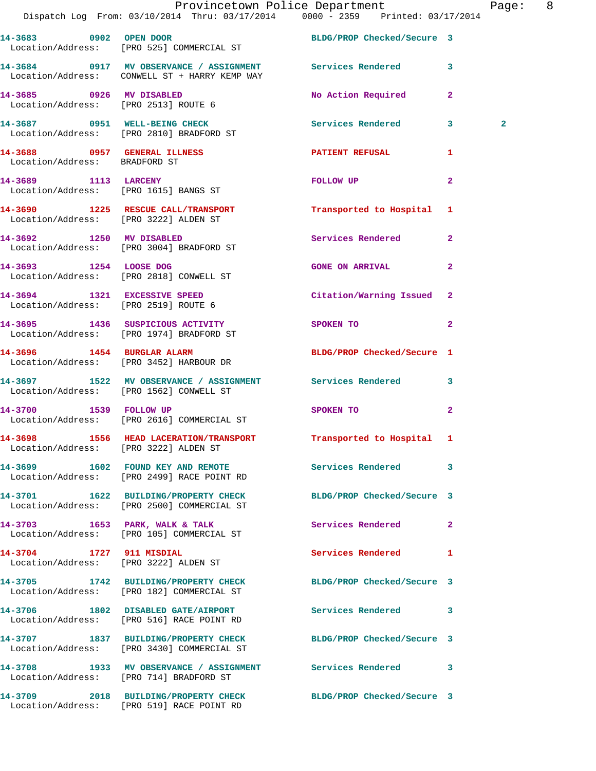|                                       | Provincetown Police Department The Rage: 8<br>Dispatch Log From: 03/10/2014 Thru: 03/17/2014 0000 - 2359 Printed: 03/17/2014 |                            |                |              |  |
|---------------------------------------|------------------------------------------------------------------------------------------------------------------------------|----------------------------|----------------|--------------|--|
|                                       | 14-3683 0902 OPEN DOOR BLDG/PROP Checked/Secure 3<br>Location/Address: [PRO 525] COMMERCIAL ST                               |                            |                |              |  |
|                                       | 14-3684 0917 MV OBSERVANCE / ASSIGNMENT Services Rendered 3<br>Location/Address: CONWELL ST + HARRY KEMP WAY                 |                            |                |              |  |
|                                       |                                                                                                                              | No Action Required 2       |                |              |  |
|                                       | 14-3687 0951 WELL-BEING CHECK<br>Location/Address: [PRO 2810] BRADFORD ST                                                    | Services Rendered 3        |                | $\mathbf{2}$ |  |
| Location/Address: BRADFORD ST         | 14-3688 0957 GENERAL ILLNESS                                                                                                 | PATIENT REFUSAL            | $\mathbf{1}$   |              |  |
|                                       | 14-3689 1113 LARCENY<br>Location/Address: [PRO 1615] BANGS ST                                                                | FOLLOW UP                  | $\mathbf{2}$   |              |  |
|                                       | 14-3690 1225 RESCUE CALL/TRANSPORT Transported to Hospital 1<br>Location/Address: [PRO 3222] ALDEN ST                        |                            |                |              |  |
|                                       | 14-3692 1250 MV DISABLED<br>Location/Address: [PRO 3004] BRADFORD ST                                                         | Services Rendered 2        |                |              |  |
| 14-3693 1254 LOOSE DOG                | Location/Address: [PRO 2818] CONWELL ST                                                                                      | <b>GONE ON ARRIVAL</b> 2   |                |              |  |
| Location/Address: [PRO 2519] ROUTE 6  | 14-3694 1321 EXCESSIVE SPEED                                                                                                 | Citation/Warning Issued 2  |                |              |  |
|                                       | 14-3695 1436 SUSPICIOUS ACTIVITY SPOKEN TO<br>Location/Address: [PRO 1974] BRADFORD ST                                       |                            | $\overline{2}$ |              |  |
|                                       | 14-3696 1454 BURGLAR ALARM<br>Location/Address: [PRO 3452] HARBOUR DR                                                        | BLDG/PROP Checked/Secure 1 |                |              |  |
|                                       | 14-3697 1522 MV OBSERVANCE / ASSIGNMENT Services Rendered 3<br>Location/Address: [PRO 1562] CONWELL ST                       |                            |                |              |  |
|                                       | 14-3700 1539 FOLLOW UP<br>Location/Address: [PRO 2616] COMMERCIAL ST                                                         | SPOKEN TO 2                |                |              |  |
| Location/Address: [PRO 3222] ALDEN ST | 14-3698 1556 HEAD LACERATION/TRANSPORT Transported to Hospital 1                                                             |                            |                |              |  |
|                                       | 14-3699 1602 FOUND KEY AND REMOTE<br>Location/Address: [PRO 2499] RACE POINT RD                                              | Services Rendered 3        |                |              |  |
|                                       | 14-3701 1622 BUILDING/PROPERTY CHECK BLDG/PROP Checked/Secure 3<br>Location/Address: [PRO 2500] COMMERCIAL ST                |                            |                |              |  |
|                                       | 14-3703 1653 PARK, WALK & TALK<br>Location/Address: [PRO 105] COMMERCIAL ST                                                  | Services Rendered 2        |                |              |  |
| 14-3704 1727 911 MISDIAL              | Location/Address: [PRO 3222] ALDEN ST                                                                                        | Services Rendered 1        |                |              |  |
|                                       | 14-3705 1742 BUILDING/PROPERTY CHECK BLDG/PROP Checked/Secure 3<br>Location/Address: [PRO 182] COMMERCIAL ST                 |                            |                |              |  |
|                                       | 14-3706 1802 DISABLED GATE/AIRPORT Services Rendered 3<br>Location/Address: [PRO 516] RACE POINT RD                          |                            |                |              |  |
|                                       | 14-3707 1837 BUILDING/PROPERTY CHECK BLDG/PROP Checked/Secure 3<br>Location/Address: [PRO 3430] COMMERCIAL ST                |                            |                |              |  |
|                                       | 14-3708 1933 MV OBSERVANCE / ASSIGNMENT Services Rendered 3<br>Location/Address: [PRO 714] BRADFORD ST                       |                            |                |              |  |
|                                       | 14-3709 2018 BUILDING/PROPERTY CHECK BLDG/PROP Checked/Secure 3                                                              |                            |                |              |  |

Location/Address: [PRO 519] RACE POINT RD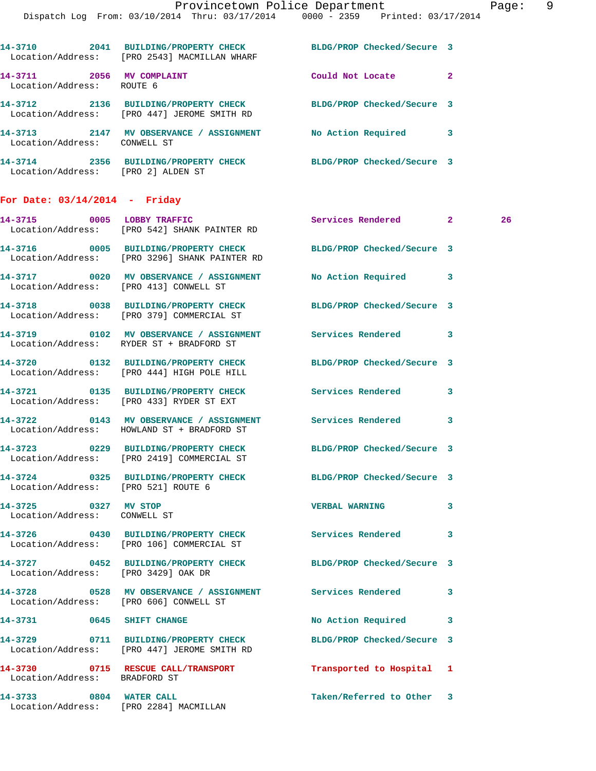Location/Address: [PRO 447] JEROME SMITH RD **14-3713 2147 MV OBSERVANCE / ASSIGNMENT No Action Required 3**  Location/Address: CONWELL ST **14-3714 2356 BUILDING/PROPERTY CHECK BLDG/PROP Checked/Secure 3**  Location/Address: [PRO 2] ALDEN ST

## **For Date: 03/14/2014 - Friday**

|                                                      | 14-3715 0005 LOBBY TRAFFIC<br>Location/Address: [PRO 542] SHANK PAINTER RD                                       | Services Rendered 2        |   | 26 |
|------------------------------------------------------|------------------------------------------------------------------------------------------------------------------|----------------------------|---|----|
|                                                      | 14-3716 0005 BUILDING/PROPERTY CHECK BLDG/PROP Checked/Secure 3<br>Location/Address: [PRO 3296] SHANK PAINTER RD |                            |   |    |
|                                                      | 14-3717 0020 MV OBSERVANCE / ASSIGNMENT<br>Location/Address: [PRO 413] CONWELL ST                                | No Action Required 3       |   |    |
|                                                      | 14-3718 0038 BUILDING/PROPERTY CHECK BLDG/PROP Checked/Secure 3<br>Location/Address: [PRO 379] COMMERCIAL ST     |                            |   |    |
|                                                      | 14-3719 0102 MV OBSERVANCE / ASSIGNMENT Services Rendered<br>Location/Address: RYDER ST + BRADFORD ST            |                            | 3 |    |
|                                                      | 14-3720 0132 BUILDING/PROPERTY CHECK BLDG/PROP Checked/Secure 3<br>Location/Address: [PRO 444] HIGH POLE HILL    |                            |   |    |
|                                                      | 14-3721 0135 BUILDING/PROPERTY CHECK<br>Location/Address: [PRO 433] RYDER ST EXT                                 | Services Rendered          | 3 |    |
|                                                      | 14-3722 0143 MV OBSERVANCE / ASSIGNMENT Services Rendered 3<br>Location/Address: HOWLAND ST + BRADFORD ST        |                            |   |    |
|                                                      | 14-3723 0229 BUILDING/PROPERTY CHECK<br>Location/Address: [PRO 2419] COMMERCIAL ST                               | BLDG/PROP Checked/Secure 3 |   |    |
| Location/Address: [PRO 521] ROUTE 6                  | 14-3724 0325 BUILDING/PROPERTY CHECK BLDG/PROP Checked/Secure 3                                                  |                            |   |    |
| 14-3725 0327 MV STOP<br>Location/Address: CONWELL ST |                                                                                                                  | <b>VERBAL WARNING</b>      | 3 |    |
|                                                      | 14-3726 0430 BUILDING/PROPERTY CHECK Services Rendered<br>Location/Address: [PRO 106] COMMERCIAL ST              |                            | 3 |    |
| Location/Address: [PRO 3429] OAK DR                  | 14-3727 0452 BUILDING/PROPERTY CHECK BLDG/PROP Checked/Secure 3                                                  |                            |   |    |
|                                                      | 14-3728 0528 MV OBSERVANCE / ASSIGNMENT Services Rendered<br>Location/Address: [PRO 606] CONWELL ST              |                            | 3 |    |
|                                                      | 14-3731 0645 SHIFT CHANGE                                                                                        | No Action Required 3       |   |    |
|                                                      | 14-3729 0711 BUILDING/PROPERTY CHECK BLDG/PROP Checked/Secure 3<br>Location/Address: [PRO 447] JEROME SMITH RD   |                            |   |    |
| Location/Address: BRADFORD ST                        | 14-3730 0715 RESCUE CALL/TRANSPORT                                                                               | Transported to Hospital    | 1 |    |
|                                                      | 14-3733 0804 WATER CALL<br>Location/Address: [PRO 2284] MACMILLAN                                                | Taken/Referred to Other 3  |   |    |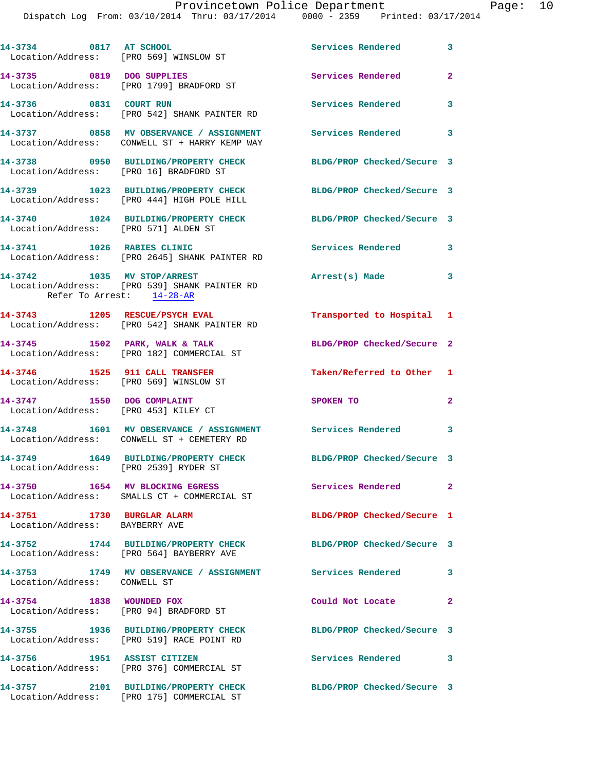Dispatch Log From: 03/10/2014 Thru: 03/17/2014 0000 - 2359 Printed: 03/17/2014

| 14-3734 0817 AT SCHOOL<br>Location/Address: [PRO 569] WINSLOW ST         |                                                                                                              | Services Rendered 3           |                |
|--------------------------------------------------------------------------|--------------------------------------------------------------------------------------------------------------|-------------------------------|----------------|
| 14-3735 0819 DOG SUPPLIES                                                | Location/Address: [PRO 1799] BRADFORD ST                                                                     | Services Rendered<br>$\sim$ 2 |                |
| 14-3736 0831 COURT RUN                                                   | Location/Address: [PRO 542] SHANK PAINTER RD                                                                 | <b>Services Rendered</b>      | 3              |
|                                                                          | 14-3737 0858 MV OBSERVANCE / ASSIGNMENT Services Rendered 3<br>Location/Address: CONWELL ST + HARRY KEMP WAY |                               |                |
| Location/Address: [PRO 16] BRADFORD ST                                   | 14-3738 0950 BUILDING/PROPERTY CHECK                                                                         | BLDG/PROP Checked/Secure 3    |                |
|                                                                          | 14-3739 1023 BUILDING/PROPERTY CHECK<br>Location/Address: [PRO 444] HIGH POLE HILL                           | BLDG/PROP Checked/Secure 3    |                |
| Location/Address: [PRO 571] ALDEN ST                                     | 14-3740 1024 BUILDING/PROPERTY CHECK                                                                         | BLDG/PROP Checked/Secure 3    |                |
| 14-3741 1026 RABIES CLINIC                                               | Location/Address: [PRO 2645] SHANK PAINTER RD                                                                | <b>Services Rendered</b>      | 3              |
| Refer To Arrest: 14-28-AR                                                | 14-3742 1035 MV STOP/ARREST<br>Location/Address: [PRO 539] SHANK PAINTER RD                                  | Arrest(s) Made                | 3              |
|                                                                          | 14-3743 1205 RESCUE/PSYCH EVAL<br>Location/Address: [PRO 542] SHANK PAINTER RD                               | Transported to Hospital 1     |                |
|                                                                          | 14-3745 1502 PARK, WALK & TALK<br>Location/Address: [PRO 182] COMMERCIAL ST                                  | BLDG/PROP Checked/Secure 2    |                |
| 14-3746 1525 911 CALL TRANSFER<br>Location/Address: [PRO 569] WINSLOW ST |                                                                                                              | Taken/Referred to Other 1     |                |
| 14-3747 1550 DOG COMPLAINT<br>Location/Address: [PRO 453] KILEY CT       |                                                                                                              | SPOKEN TO                     | $\overline{2}$ |
|                                                                          | 14-3748 1601 MV OBSERVANCE / ASSIGNMENT<br>Location/Address: CONWELL ST + CEMETERY RD                        | Services Rendered 3           |                |
| Location/Address: [PRO 2539] RYDER ST                                    | 14-3749 1649 BUILDING/PROPERTY CHECK                                                                         | BLDG/PROP Checked/Secure 3    |                |
|                                                                          | 14-3750 1654 MV BLOCKING EGRESS<br>Location/Address: SMALLS CT + COMMERCIAL ST                               | Services Rendered 2           |                |
| 14-3751 1730 BURGLAR ALARM<br>Location/Address: BAYBERRY AVE             |                                                                                                              | BLDG/PROP Checked/Secure 1    |                |
|                                                                          | 14-3752 1744 BUILDING/PROPERTY CHECK<br>Location/Address: [PRO 564] BAYBERRY AVE                             | BLDG/PROP Checked/Secure 3    |                |
| Location/Address: CONWELL ST                                             | 14-3753 1749 MV OBSERVANCE / ASSIGNMENT Services Rendered                                                    | $\sim$ 3                      |                |
| 14-3754 1838 WOUNDED FOX<br>Location/Address: [PRO 94] BRADFORD ST       |                                                                                                              | Could Not Locate              | $\mathbf{2}$   |
|                                                                          | 14-3755 1936 BUILDING/PROPERTY CHECK<br>Location/Address: [PRO 519] RACE POINT RD                            | BLDG/PROP Checked/Secure 3    |                |
| 14-3756 1951 ASSIST CITIZEN                                              | Location/Address: [PRO 376] COMMERCIAL ST                                                                    | <b>Services Rendered</b>      | 3              |
|                                                                          | 14-3757 2101 BUILDING/PROPERTY CHECK                                                                         | BLDG/PROP Checked/Secure 3    |                |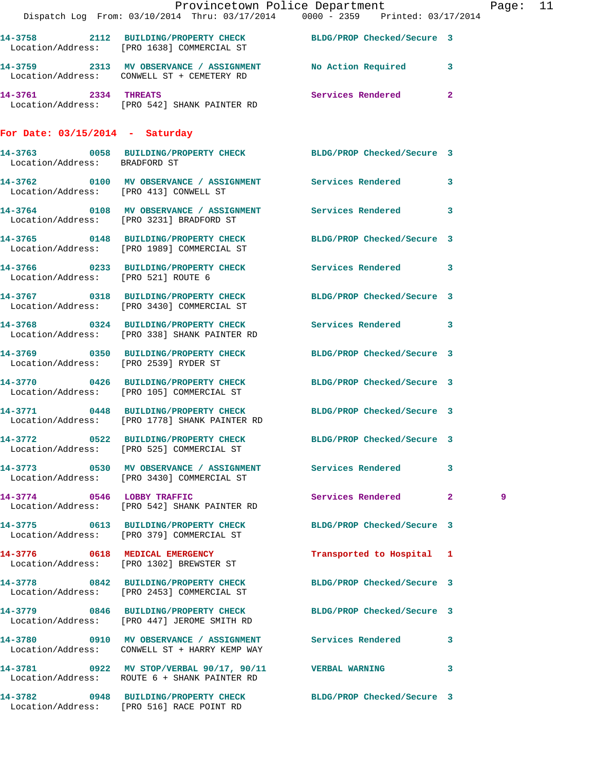|                                       | Provincetown Police Department Page: 11<br>Dispatch Log From: 03/10/2014 Thru: 03/17/2014 0000 - 2359 Printed: 03/17/2014 |                            |   |  |
|---------------------------------------|---------------------------------------------------------------------------------------------------------------------------|----------------------------|---|--|
|                                       | 14-3758 2112 BUILDING/PROPERTY CHECK BLDG/PROP Checked/Secure 3<br>Location/Address: [PRO 1638] COMMERCIAL ST             |                            |   |  |
|                                       | 14-3759 2313 MV OBSERVANCE / ASSIGNMENT No Action Required 3<br>Location/Address: CONWELL ST + CEMETERY RD                |                            |   |  |
|                                       | 14-3761 2334 THREATS<br>Location/Address: [PRO 542] SHANK PAINTER RD                                                      | Services Rendered 2        |   |  |
| For Date: $03/15/2014$ - Saturday     |                                                                                                                           |                            |   |  |
| Location/Address: BRADFORD ST         | 14-3763 0058 BUILDING/PROPERTY CHECK BLDG/PROP Checked/Secure 3                                                           |                            |   |  |
|                                       | 14-3762 0100 MV OBSERVANCE / ASSIGNMENT Services Rendered 3<br>Location/Address: [PRO 413] CONWELL ST                     |                            |   |  |
|                                       | 14-3764 0108 MV OBSERVANCE / ASSIGNMENT Services Rendered 3<br>Location/Address: [PRO 3231] BRADFORD ST                   |                            |   |  |
|                                       | 14-3765 0148 BUILDING/PROPERTY CHECK BLDG/PROP Checked/Secure 3<br>Location/Address: [PRO 1989] COMMERCIAL ST             |                            |   |  |
| Location/Address: [PRO 521] ROUTE 6   | 14-3766 0233 BUILDING/PROPERTY CHECK Services Rendered 3                                                                  |                            |   |  |
|                                       | 14-3767 0318 BUILDING/PROPERTY CHECK<br>Location/Address: [PRO 3430] COMMERCIAL ST                                        | BLDG/PROP Checked/Secure 3 |   |  |
|                                       | 14-3768 0324 BUILDING/PROPERTY CHECK Services Rendered 3<br>Location/Address: [PRO 338] SHANK PAINTER RD                  |                            |   |  |
| Location/Address: [PRO 2539] RYDER ST | 14-3769 0350 BUILDING/PROPERTY CHECK BLDG/PROP Checked/Secure 3                                                           |                            |   |  |
|                                       | 14-3770 0426 BUILDING/PROPERTY CHECK BLDG/PROP Checked/Secure 3<br>Location/Address: [PRO 105] COMMERCIAL ST              |                            |   |  |
|                                       | 14-3771 0448 BUILDING/PROPERTY CHECK BLDG/PROP Checked/Secure 3<br>Location/Address: [PRO 1778] SHANK PAINTER RD          |                            |   |  |
|                                       | 14-3772 0522 BUILDING/PROPERTY CHECK<br>Location/Address: [PRO 525] COMMERCIAL ST                                         | BLDG/PROP Checked/Secure 3 |   |  |
|                                       | 14-3773 0530 MV OBSERVANCE / ASSIGNMENT Services Rendered 3<br>Location/Address: [PRO 3430] COMMERCIAL ST                 |                            |   |  |
|                                       | 14-3774 0546 LOBBY TRAFFIC<br>Location/Address: [PRO 542] SHANK PAINTER RD                                                | Services Rendered 2        | 9 |  |
|                                       | 14-3775 0613 BUILDING/PROPERTY CHECK BLDG/PROP Checked/Secure 3<br>Location/Address: [PRO 379] COMMERCIAL ST              |                            |   |  |
|                                       | 14-3776 0618 MEDICAL EMERGENCY<br>Location/Address: [PRO 1302] BREWSTER ST                                                | Transported to Hospital 1  |   |  |
|                                       | 14-3778 0842 BUILDING/PROPERTY CHECK BLDG/PROP Checked/Secure 3<br>Location/Address: [PRO 2453] COMMERCIAL ST             |                            |   |  |
|                                       | 14-3779 0846 BUILDING/PROPERTY CHECK BLDG/PROP Checked/Secure 3<br>Location/Address: [PRO 447] JEROME SMITH RD            |                            |   |  |
|                                       | 14-3780 0910 MV OBSERVANCE / ASSIGNMENT Services Rendered 3<br>Location/Address: CONWELL ST + HARRY KEMP WAY              |                            |   |  |
|                                       | 14-3781 0922 MV STOP/VERBAL 90/17, 90/11 VERBAL WARNING 3<br>Location/Address: ROUTE 6 + SHANK PAINTER RD                 |                            |   |  |
|                                       | 14-3782 0948 BUILDING/PROPERTY CHECK BLDG/PROP Checked/Secure 3<br>Location/Address: [PRO 516] RACE POINT RD              |                            |   |  |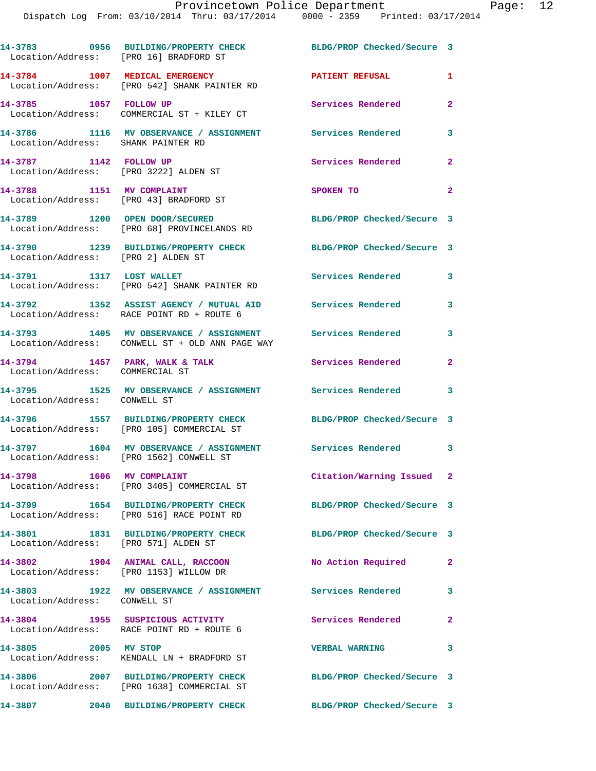| Location/Address: [PRO 16] BRADFORD ST                              | 14-3783 0956 BUILDING/PROPERTY CHECK                                                                          | BLDG/PROP Checked/Secure 3 |                |
|---------------------------------------------------------------------|---------------------------------------------------------------------------------------------------------------|----------------------------|----------------|
|                                                                     | 14-3784 1007 MEDICAL EMERGENCY<br>Location/Address: [PRO 542] SHANK PAINTER RD                                | <b>PATIENT REFUSAL</b>     | 1              |
| 14-3785 1057 FOLLOW UP                                              | Location/Address: COMMERCIAL ST + KILEY CT                                                                    | Services Rendered          | $\overline{2}$ |
| Location/Address: SHANK PAINTER RD                                  | 14-3786 1116 MV OBSERVANCE / ASSIGNMENT Services Rendered                                                     |                            | 3              |
| 14-3787 1142 FOLLOW UP<br>Location/Address: [PRO 3222] ALDEN ST     |                                                                                                               | Services Rendered          | $\mathbf{2}$   |
| 14-3788 1151 MV COMPLAINT<br>Location/Address: [PRO 43] BRADFORD ST |                                                                                                               | SPOKEN TO                  | $\overline{2}$ |
|                                                                     | 14-3789 1200 OPEN DOOR/SECURED<br>Location/Address: [PRO 68] PROVINCELANDS RD                                 | BLDG/PROP Checked/Secure 3 |                |
|                                                                     | 14-3790 1239 BUILDING/PROPERTY CHECK<br>Location/Address: [PRO 2] ALDEN ST                                    | BLDG/PROP Checked/Secure 3 |                |
| 14-3791 1317 LOST WALLET                                            | Location/Address: [PRO 542] SHANK PAINTER RD                                                                  | Services Rendered          | 3              |
|                                                                     | 14-3792 1352 ASSIST AGENCY / MUTUAL AID<br>Location/Address: RACE POINT RD + ROUTE 6                          | <b>Services Rendered</b>   | 3              |
|                                                                     | 14-3793 1405 MV OBSERVANCE / ASSIGNMENT<br>Location/Address: CONWELL ST + OLD ANN PAGE WAY                    | <b>Services Rendered</b>   | 3              |
| 14-3794 1457 PARK, WALK & TALK<br>Location/Address: COMMERCIAL ST   |                                                                                                               | Services Rendered          | $\overline{2}$ |
| Location/Address: CONWELL ST                                        | 14-3795 1525 MV OBSERVANCE / ASSIGNMENT Services Rendered                                                     |                            | 3              |
|                                                                     | 14-3796 1557 BUILDING/PROPERTY CHECK BLDG/PROP Checked/Secure 3<br>Location/Address: [PRO 105] COMMERCIAL ST  |                            |                |
|                                                                     | 14-3797 1604 MV OBSERVANCE / ASSIGNMENT Services Rendered 3<br>Location/Address: [PRO 1562] CONWELL ST        |                            |                |
| 14-3798 1606 MV COMPLAINT                                           | Location/Address: [PRO 3405] COMMERCIAL ST                                                                    | Citation/Warning Issued 2  |                |
|                                                                     | 14-3799 1654 BUILDING/PROPERTY CHECK BLDG/PROP Checked/Secure 3<br>Location/Address: [PRO 516] RACE POINT RD  |                            |                |
| Location/Address: [PRO 571] ALDEN ST                                | 14-3801 1831 BUILDING/PROPERTY CHECK                                                                          | BLDG/PROP Checked/Secure 3 |                |
| Location/Address: [PRO 1153] WILLOW DR                              | 14-3802 1904 ANIMAL CALL, RACCOON                                                                             | No Action Required         | $\mathbf{2}$   |
| Location/Address: CONWELL ST                                        | 14-3803 1922 MV OBSERVANCE / ASSIGNMENT Services Rendered                                                     |                            | 3              |
|                                                                     | 14-3804 1955 SUSPICIOUS ACTIVITY<br>Location/Address: RACE POINT RD + ROUTE 6                                 | <b>Services Rendered</b>   | $\mathbf{2}$   |
| 14-3805 2005 MV STOP                                                | Location/Address: KENDALL LN + BRADFORD ST                                                                    | <b>VERBAL WARNING</b>      | 3              |
|                                                                     | 14-3806 2007 BUILDING/PROPERTY CHECK BLDG/PROP Checked/Secure 3<br>Location/Address: [PRO 1638] COMMERCIAL ST |                            |                |
|                                                                     | 14-3807  2040 BUILDING/PROPERTY CHECK                                                                         | BLDG/PROP Checked/Secure 3 |                |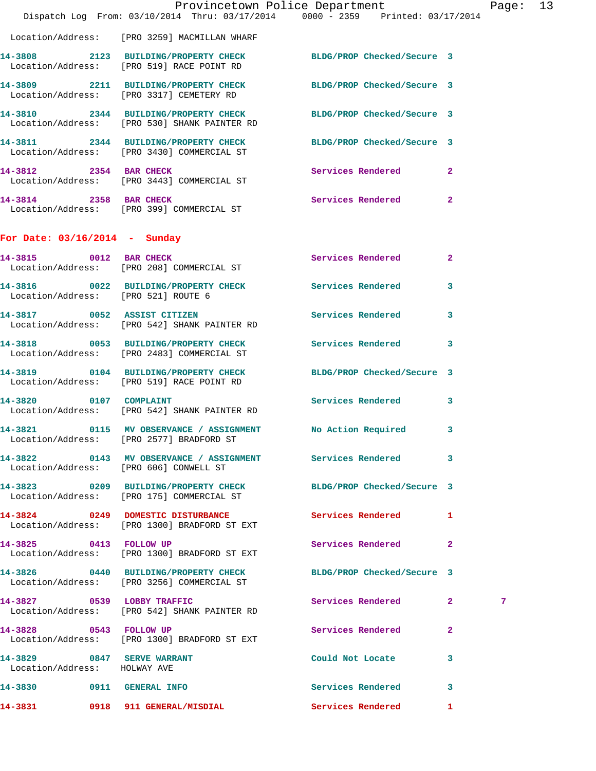|                                                            | Provincetown Police Department<br>Dispatch Log From: 03/10/2014 Thru: 03/17/2014 0000 - 2359 Printed: 03/17/2014 |                            | Pag                 |
|------------------------------------------------------------|------------------------------------------------------------------------------------------------------------------|----------------------------|---------------------|
|                                                            | Location/Address: [PRO 3259] MACMILLAN WHARF                                                                     |                            |                     |
|                                                            | 14-3808 2123 BUILDING/PROPERTY CHECK<br>Location/Address: [PRO 519] RACE POINT RD                                | BLDG/PROP Checked/Secure 3 |                     |
|                                                            | 14-3809 2211 BUILDING/PROPERTY CHECK BLDG/PROP Checked/Secure 3<br>Location/Address: [PRO 3317] CEMETERY RD      |                            |                     |
|                                                            | 14-3810 2344 BUILDING/PROPERTY CHECK<br>Location/Address: [PRO 530] SHANK PAINTER RD                             | BLDG/PROP Checked/Secure 3 |                     |
|                                                            | 14-3811 2344 BUILDING/PROPERTY CHECK BLDG/PROP Checked/Secure 3<br>Location/Address: [PRO 3430] COMMERCIAL ST    |                            |                     |
| 14-3812 2354 BAR CHECK                                     | Location/Address: [PRO 3443] COMMERCIAL ST                                                                       | Services Rendered          | $\overline{2}$      |
|                                                            | 14-3814 2358 BAR CHECK<br>Location/Address: [PRO 399] COMMERCIAL ST                                              | Services Rendered          | $\mathbf{2}$        |
| For Date: $03/16/2014$ - Sunday                            |                                                                                                                  |                            |                     |
|                                                            | 14-3815 0012 BAR CHECK<br>Location/Address: [PRO 208] COMMERCIAL ST                                              | <b>Services Rendered</b>   | $\mathbf{2}$        |
| Location/Address: [PRO 521] ROUTE 6                        | 14-3816 0022 BUILDING/PROPERTY CHECK Services Rendered                                                           |                            | 3                   |
|                                                            | 14-3817 0052 ASSIST CITIZEN<br>Location/Address: [PRO 542] SHANK PAINTER RD                                      | Services Rendered          | 3                   |
|                                                            | 14-3818 0053 BUILDING/PROPERTY CHECK Services Rendered<br>Location/Address: [PRO 2483] COMMERCIAL ST             |                            | 3                   |
|                                                            | 14-3819 0104 BUILDING/PROPERTY CHECK<br>Location/Address: [PRO 519] RACE POINT RD                                | BLDG/PROP Checked/Secure 3 |                     |
| 14-3820 0107 COMPLAINT                                     | Location/Address: [PRO 542] SHANK PAINTER RD                                                                     | <b>Services Rendered</b>   | 3                   |
|                                                            | 14-3821 0115 MV OBSERVANCE / ASSIGNMENT No Action Required<br>Location/Address: [PRO 2577] BRADFORD ST           |                            | 3                   |
| Location/Address: [PRO 606] CONWELL ST                     | 14-3822 0143 MV OBSERVANCE / ASSIGNMENT Services Rendered                                                        |                            | 3                   |
|                                                            | 14-3823 0209 BUILDING/PROPERTY CHECK BLDG/PROP Checked/Secure 3<br>Location/Address: [PRO 175] COMMERCIAL ST     |                            |                     |
|                                                            | 14-3824 0249 DOMESTIC DISTURBANCE Services Rendered<br>Location/Address: [PRO 1300] BRADFORD ST EXT              |                            | 1                   |
| 14-3825 0413 FOLLOW UP                                     | Location/Address: [PRO 1300] BRADFORD ST EXT                                                                     | Services Rendered          | $\mathbf{2}$        |
|                                                            | 14-3826 0440 BUILDING/PROPERTY CHECK BLDG/PROP Checked/Secure 3<br>Location/Address: [PRO 3256] COMMERCIAL ST    |                            |                     |
|                                                            | 14-3827 0539 LOBBY TRAFFIC<br>Location/Address: [PRO 542] SHANK PAINTER RD                                       | Services Rendered          | $\mathbf{2}^-$<br>7 |
| 14-3828 0543 FOLLOW UP                                     | Location/Address: [PRO 1300] BRADFORD ST EXT                                                                     | Services Rendered          | $\mathbf{2}$        |
| 14-3829 0847 SERVE WARRANT<br>Location/Address: HOLWAY AVE |                                                                                                                  | Could Not Locate           | 3                   |
| 14-3830 0911 GENERAL INFO                                  |                                                                                                                  | Services Rendered          | 3                   |
| 14-3831                                                    | 0918 911 GENERAL/MISDIAL                                                                                         | Services Rendered          | 1.                  |

Page: 13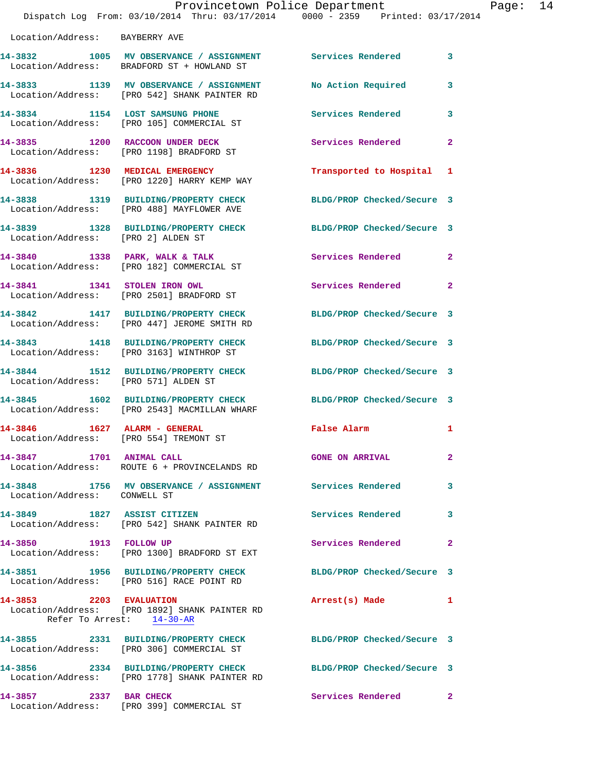| Provincetown Police Department<br>Page: 14<br>Dispatch Log From: 03/10/2014 Thru: 03/17/2014 0000 - 2359 Printed: 03/17/2014 |                                                                                                                  |                           |                         |  |
|------------------------------------------------------------------------------------------------------------------------------|------------------------------------------------------------------------------------------------------------------|---------------------------|-------------------------|--|
| Location/Address: BAYBERRY AVE                                                                                               |                                                                                                                  |                           |                         |  |
|                                                                                                                              | 14-3832 1005 MV OBSERVANCE / ASSIGNMENT Services Rendered 3<br>Location/Address: BRADFORD ST + HOWLAND ST        |                           |                         |  |
|                                                                                                                              | 14-3833 1139 MV OBSERVANCE / ASSIGNMENT<br>Location/Address: [PRO 542] SHANK PAINTER RD                          | No Action Required        | $\overline{\mathbf{3}}$ |  |
|                                                                                                                              | 14-3834 1154 LOST SAMSUNG PHONE<br>Location/Address: [PRO 105] COMMERCIAL ST                                     | Services Rendered         | $\mathbf{3}$            |  |
|                                                                                                                              | 14-3835 1200 RACCOON UNDER DECK<br>Location/Address: [PRO 1198] BRADFORD ST                                      | Services Rendered 2       |                         |  |
|                                                                                                                              | 14-3836 1230 MEDICAL EMERGENCY<br>Location/Address: [PRO 1220] HARRY KEMP WAY                                    | Transported to Hospital 1 |                         |  |
|                                                                                                                              | 14-3838 1319 BUILDING/PROPERTY CHECK BLDG/PROP Checked/Secure 3<br>Location/Address: [PRO 488] MAYFLOWER AVE     |                           |                         |  |
| Location/Address: [PRO 2] ALDEN ST                                                                                           | 14-3839 1328 BUILDING/PROPERTY CHECK BLDG/PROP Checked/Secure 3                                                  |                           |                         |  |
|                                                                                                                              | 14-3840 1338 PARK, WALK & TALK 6 Services Rendered 2<br>Location/Address: [PRO 182] COMMERCIAL ST                |                           |                         |  |
|                                                                                                                              | 14-3841 1341 STOLEN IRON OWL<br>Location/Address: [PRO 2501] BRADFORD ST                                         | Services Rendered 2       |                         |  |
|                                                                                                                              | 14-3842 1417 BUILDING/PROPERTY CHECK BLDG/PROP Checked/Secure 3<br>Location/Address: [PRO 447] JEROME SMITH RD   |                           |                         |  |
|                                                                                                                              | 14-3843 1418 BUILDING/PROPERTY CHECK BLDG/PROP Checked/Secure 3<br>Location/Address: [PRO 3163] WINTHROP ST      |                           |                         |  |
| Location/Address: [PRO 571] ALDEN ST                                                                                         | 14-3844 1512 BUILDING/PROPERTY CHECK BLDG/PROP Checked/Secure 3                                                  |                           |                         |  |
|                                                                                                                              | 14-3845 1602 BUILDING/PROPERTY CHECK BLDG/PROP Checked/Secure 3<br>Location/Address: [PRO 2543] MACMILLAN WHARF  |                           |                         |  |
|                                                                                                                              | Location/Address: [PRO 554] TREMONT ST                                                                           | False Alarm 1             |                         |  |
|                                                                                                                              | 14-3847 1701 ANIMAL CALL<br>Location/Address: ROUTE 6 + PROVINCELANDS RD                                         | <b>GONE ON ARRIVAL</b>    | $\overline{2}$          |  |
| Location/Address: CONWELL ST                                                                                                 | 14-3848 1756 MV OBSERVANCE / ASSIGNMENT Services Rendered 3                                                      |                           |                         |  |
|                                                                                                                              | 14-3849 1827 ASSIST CITIZEN<br>Location/Address: [PRO 542] SHANK PAINTER RD                                      | Services Rendered         | 3                       |  |
| 14-3850 1913 FOLLOW UP                                                                                                       | Location/Address: [PRO 1300] BRADFORD ST EXT                                                                     | Services Rendered         | $\mathbf{2}$            |  |
|                                                                                                                              | 14-3851 1956 BUILDING/PROPERTY CHECK BLDG/PROP Checked/Secure 3<br>Location/Address: [PRO 516] RACE POINT RD     |                           |                         |  |
| 14-3853 2203 EVALUATION                                                                                                      | Location/Address: [PRO 1892] SHANK PAINTER RD<br>Refer To Arrest: 14-30-AR                                       | Arrest(s) Made 1          |                         |  |
|                                                                                                                              | 14-3855 2331 BUILDING/PROPERTY CHECK BLDG/PROP Checked/Secure 3<br>Location/Address: [PRO 306] COMMERCIAL ST     |                           |                         |  |
|                                                                                                                              | 14-3856 2334 BUILDING/PROPERTY CHECK BLDG/PROP Checked/Secure 3<br>Location/Address: [PRO 1778] SHANK PAINTER RD |                           |                         |  |
| 14-3857 2337 BAR CHECK                                                                                                       |                                                                                                                  | Services Rendered 2       |                         |  |

Location/Address: [PRO 399] COMMERCIAL ST